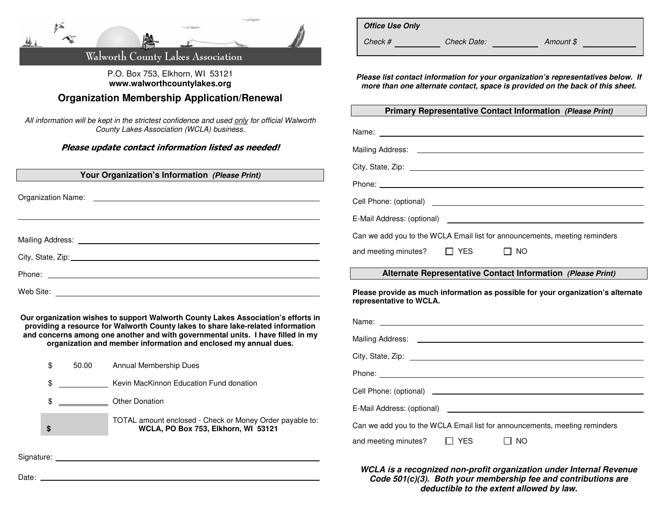|  |  | Walworth County Lakes Association |  |
|--|--|-----------------------------------|--|

## P.O. Box 753, Elkhorn, WI 53121 **www.walworthcountylakes.org**

**Organization Membership Application/Renewal** 

All information will be kept in the strictest confidence and used only for official Walworth County Lakes Association (WCLA) business.

Please update contact information listed as needed!

| Your Organization's Information (Please Print)                                                                                                                                                                                 | $U(y, S)$ different $L(y, S)$ different $S$ and $S$ different $S$ and $S$ different $S$ different $S$ different $S$ different $S$ different $S$ different $S$ different $S$ different $S$ different $S$ different $S$ different |  |  |
|--------------------------------------------------------------------------------------------------------------------------------------------------------------------------------------------------------------------------------|---------------------------------------------------------------------------------------------------------------------------------------------------------------------------------------------------------------------------------|--|--|
|                                                                                                                                                                                                                                |                                                                                                                                                                                                                                 |  |  |
|                                                                                                                                                                                                                                |                                                                                                                                                                                                                                 |  |  |
|                                                                                                                                                                                                                                |                                                                                                                                                                                                                                 |  |  |
| Mailing Address: National Address and Contract and Contract and Contract and Contract and Contract and Contract and Contract and Contract and Contract and Contract and Contract and Contract and Contract and Contract and Co | Can we add you to the WCLA Email list for announcements, meeting reminders                                                                                                                                                      |  |  |
|                                                                                                                                                                                                                                | and meeting minutes? $\Box$ YES $\Box$ NO                                                                                                                                                                                       |  |  |
|                                                                                                                                                                                                                                | Alternate Representative Contact Information (Please Print)                                                                                                                                                                     |  |  |
| Web Site:                                                                                                                                                                                                                      | Please provide as much information as possible for your organization's alternate<br>representative to WCLA.                                                                                                                     |  |  |
| Our organization wishes to support Walworth County Lakes Association's efforts in<br>providing a resource for Walworth County lakes to share lake-related information                                                          |                                                                                                                                                                                                                                 |  |  |

 $C<sub>int</sub>$ ,  $C<sub>total</sub>$ ,  $Z<sub>int</sub>$ 

**Office Use Only** 

City, Chape, Zip:

 **and concerns among one another and with governmental units. I have filled in my organization and member information and enclosed my annual dues.** 

|            | 50.00 | Annual Membership Dues                                                                          | $U(1)$ , $U(2)$ , $U(3)$ , $U(4)$ , $U(5)$ , $U(6)$ , $U(7)$ , $U(8)$ , $U(9)$ , $U(8)$ , $U(9)$ , $U(9)$ , $U(9)$ , $U(9)$ , $U(9)$ , $U(9)$ , $U(9)$ , $U(9)$ , $U(9)$ , $U(9)$ , $U(9)$ , $U(9)$ , $U(9)$ , $U(9)$ , $U(9)$ , $U(9)$ , $U(9)$ , $U(9)$ |  |
|------------|-------|-------------------------------------------------------------------------------------------------|-----------------------------------------------------------------------------------------------------------------------------------------------------------------------------------------------------------------------------------------------------------|--|
|            |       |                                                                                                 |                                                                                                                                                                                                                                                           |  |
|            |       | Kevin MacKinnon Education Fund donation                                                         |                                                                                                                                                                                                                                                           |  |
|            |       | Other Donation                                                                                  | E-Mail Address: (optional) example to the control of the control of the control of the control of the control of the control of the control of the control of the control of the control of the control of the control of the                             |  |
| ъ          |       | TOTAL amount enclosed - Check or Money Order payable to:<br>WCLA, PO Box 753, Elkhorn, WI 53121 | Can we add you to the WCLA Email list for announcements, meeting reminders                                                                                                                                                                                |  |
|            |       |                                                                                                 | $\Box$ YES<br>$\Box$ NO<br>and meeting minutes?                                                                                                                                                                                                           |  |
| Signature: |       |                                                                                                 |                                                                                                                                                                                                                                                           |  |

**WCLA is a recognized non-profit organization under Internal Revenue Code 501(c)(3). Both your membership fee and contributions are deductible to the extent allowed by law.**

Mailing Address: National Address: National Address: National Address: National Address of Address of Address in the Address of Address of Address of Address of Address of Address of Address of Address of Address of Addres

**Please list contact information for your organization's representatives below. If more than one alternate contact, space is provided on the back of this sheet.** 

Check # Check Date: Amount \$

**Primary Representative Contact Information (Please Print)**

Name:

Mailing Address: **All and Address and Address and Address and Address and Address and Address and Address and Address and Address and Address and Address and Address and Address and Address and Address and Address and Addr** 

Date: